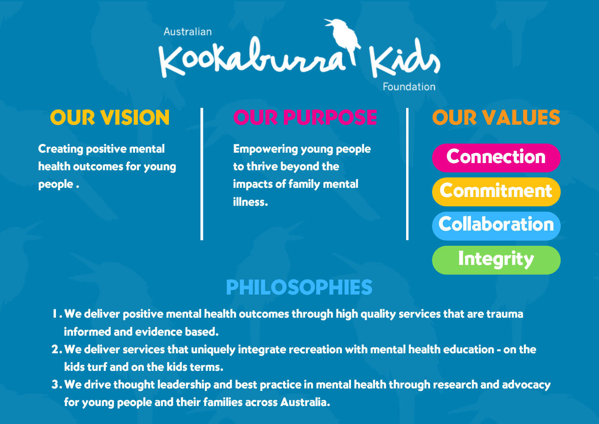

Creating positive mental health outcomes for young people .

# OUR VISION | OUR PURPOSE | OUR VALUES

Empowering young people to thrive beyond the impacts of family mental illness.

Foundation

# Connection

**Commitment** 

**Collaboration** 

**Integrity** 

# PHILOSOPHIES

- We deliver positive mental health outcomes through high quality services that are trauma 1. informed and evidence based.
- We deliver services that uniquely integrate recreation with mental health education on the 2. kids turf and on the kids terms.
- We drive thought leadership and best practice in mental health through research and advocacy 3.for young people and their families across Australia.